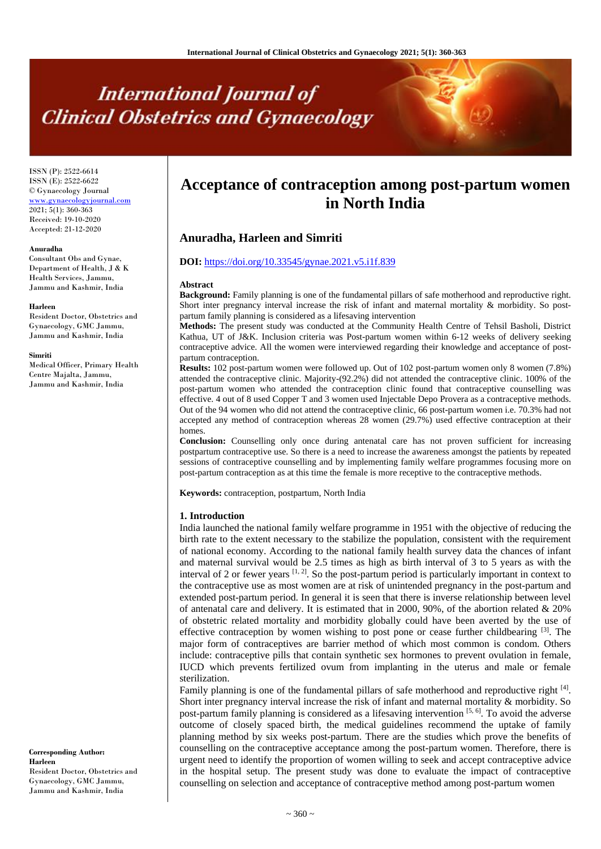# **International Journal of Clinical Obstetrics and Gynaecology**

ISSN (P): 2522-6614 ISSN (E): 2522-6622 © Gynaecology Journal <www.gynaecologyjournal.com>  $2021$ ;  $5(1)$ :  $360-363$ Received: 19-10-2020 Accepted: 21-12-2020

#### **Anuradha**

Consultant Obs and Gynae, Department of Health, J & K Health Services, Jammu, Jammu and Kashmir, India

#### **Harleen**

Resident Doctor, Obstetrics and Gynaecology, GMC Jammu, Jammu and Kashmir, India

#### **Simriti**

Medical Officer, Primary Health Centre Majalta, Jammu, Jammu and Kashmir, India

# **Acceptance of contraception among post-partum women in North India**

# **Anuradha, Harleen and Simriti**

#### **DOI:** <https://doi.org/10.33545/gynae.2021.v5.i1f.839>

#### **Abstract**

**Background:** Family planning is one of the fundamental pillars of safe motherhood and reproductive right. Short inter pregnancy interval increase the risk of infant and maternal mortality & morbidity. So postpartum family planning is considered as a lifesaving intervention

**Methods:** The present study was conducted at the Community Health Centre of Tehsil Basholi, District Kathua, UT of J&K. Inclusion criteria was Post-partum women within 6-12 weeks of delivery seeking contraceptive advice. All the women were interviewed regarding their knowledge and acceptance of postpartum contraception.

**Results:** 102 post-partum women were followed up. Out of 102 post-partum women only 8 women (7.8%) attended the contraceptive clinic. Majority-(92.2%) did not attended the contraceptive clinic. 100% of the post-partum women who attended the contraception clinic found that contraceptive counselling was effective. 4 out of 8 used Copper T and 3 women used Injectable Depo Provera as a contraceptive methods. Out of the 94 women who did not attend the contraceptive clinic, 66 post-partum women i.e. 70.3% had not accepted any method of contraception whereas 28 women (29.7%) used effective contraception at their homes.

**Conclusion:** Counselling only once during antenatal care has not proven sufficient for increasing postpartum contraceptive use. So there is a need to increase the awareness amongst the patients by repeated sessions of contraceptive counselling and by implementing family welfare programmes focusing more on post-partum contraception as at this time the female is more receptive to the contraceptive methods.

**Keywords:** contraception, postpartum, North India

#### **1. Introduction**

India launched the national family welfare programme in 1951 with the objective of reducing the birth rate to the extent necessary to the stabilize the population, consistent with the requirement of national economy. According to the national family health survey data the chances of infant and maternal survival would be 2.5 times as high as birth interval of 3 to 5 years as with the interval of 2 or fewer years  $[1, 2]$ . So the post-partum period is particularly important in context to the contraceptive use as most women are at risk of unintended pregnancy in the post-partum and extended post-partum period. In general it is seen that there is inverse relationship between level of antenatal care and delivery. It is estimated that in 2000, 90%, of the abortion related & 20% of obstetric related mortality and morbidity globally could have been averted by the use of effective contraception by women wishing to post pone or cease further childbearing  $[3]$ . The major form of contraceptives are barrier method of which most common is condom. Others include: contraceptive pills that contain synthetic sex hormones to prevent ovulation in female, IUCD which prevents fertilized ovum from implanting in the uterus and male or female sterilization.

Family planning is one of the fundamental pillars of safe motherhood and reproductive right <sup>[4]</sup>. Short inter pregnancy interval increase the risk of infant and maternal mortality & morbidity. So post-partum family planning is considered as a lifesaving intervention [5, 6]. To avoid the adverse outcome of closely spaced birth, the medical guidelines recommend the uptake of family planning method by six weeks post-partum. There are the studies which prove the benefits of counselling on the contraceptive acceptance among the post-partum women. Therefore, there is urgent need to identify the proportion of women willing to seek and accept contraceptive advice in the hospital setup. The present study was done to evaluate the impact of contraceptive counselling on selection and acceptance of contraceptive method among post-partum women

**Corresponding Author: Harleen** Resident Doctor, Obstetrics and Gynaecology, GMC Jammu, Jammu and Kashmir, India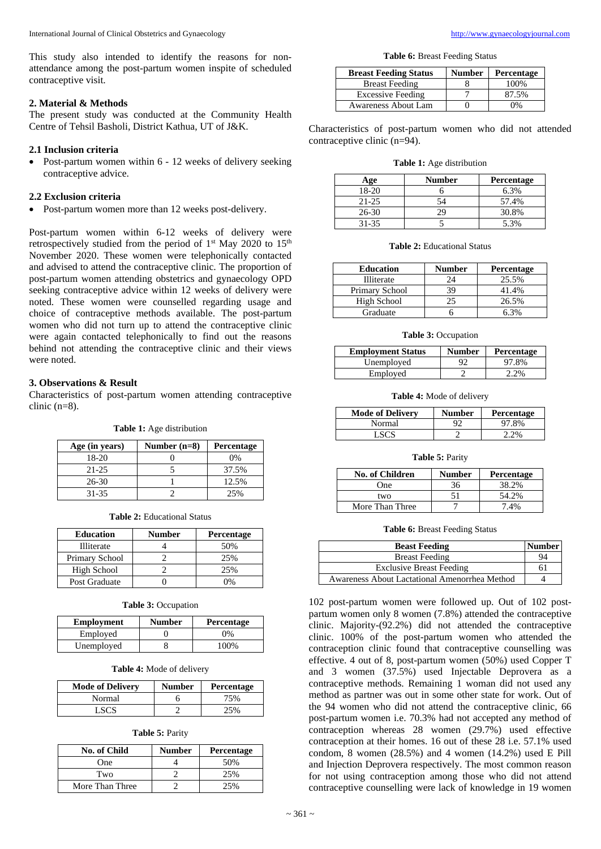This study also intended to identify the reasons for nonattendance among the post-partum women inspite of scheduled contraceptive visit.

#### **2. Material & Methods**

The present study was conducted at the Community Health Centre of Tehsil Basholi, District Kathua, UT of J&K.

## **2.1 Inclusion criteria**

 Post-partum women within 6 - 12 weeks of delivery seeking contraceptive advice.

#### **2.2 Exclusion criteria**

Post-partum women more than 12 weeks post-delivery.

Post-partum women within 6-12 weeks of delivery were retrospectively studied from the period of  $1<sup>st</sup>$  May 2020 to  $15<sup>th</sup>$ November 2020. These women were telephonically contacted and advised to attend the contraceptive clinic. The proportion of post-partum women attending obstetrics and gynaecology OPD seeking contraceptive advice within 12 weeks of delivery were noted. These women were counselled regarding usage and choice of contraceptive methods available. The post-partum women who did not turn up to attend the contraceptive clinic were again contacted telephonically to find out the reasons behind not attending the contraceptive clinic and their views were noted.

# **3. Observations & Result**

Characteristics of post-partum women attending contraceptive clinic (n=8).

| Table 1: Age distribution |  |
|---------------------------|--|
|---------------------------|--|

| Age (in years) | Number $(n=8)$ | <b>Percentage</b> |
|----------------|----------------|-------------------|
| 18-20          |                | 0%                |
| $21 - 25$      |                | 37.5%             |
| $26-30$        |                | 12.5%             |
| 31-35          |                | 25%               |

**Table 2:** Educational Status

| <b>Education</b> | Number | <b>Percentage</b> |
|------------------|--------|-------------------|
| Illiterate       |        | 50%               |
| Primary School   |        | 25%               |
| High School      |        | 25%               |
| Post Graduate    |        | 0/                |

| <b>Table 3: Occupation</b> |  |  |
|----------------------------|--|--|
|                            |  |  |

| <b>Employment</b> | <b>Number</b> | Percentage |
|-------------------|---------------|------------|
| Employed          |               | 0%         |
| Unemployed        |               | 100%       |

**Table 4:** Mode of delivery

| <b>Mode of Delivery</b> | <b>Number</b> | Percentage |
|-------------------------|---------------|------------|
| Normal                  |               | 75%        |
| LSCS.                   |               | 25%        |

|  |  | <b>Table 5: Parity</b> |
|--|--|------------------------|
|--|--|------------------------|

| <b>No. of Child</b> | <b>Number</b> | <b>Percentage</b> |
|---------------------|---------------|-------------------|
| One                 |               | 50%               |
| Two                 |               | 25%               |
| More Than Three     |               |                   |

**Table 6:** Breast Feeding Status

| <b>Breast Feeding Status</b> | <b>Number</b> | Percentage |
|------------------------------|---------------|------------|
| <b>Breast Feeding</b>        |               | 100\%      |
| <b>Excessive Feeding</b>     |               | 87.5%      |
| <b>Awareness About Lam</b>   |               | በ%         |

Characteristics of post-partum women who did not attended contraceptive clinic (n=94).

| <b>Table 1:</b> Age distribution |  |  |  |  |
|----------------------------------|--|--|--|--|
|----------------------------------|--|--|--|--|

| Age       | Number | <b>Percentage</b> |
|-----------|--------|-------------------|
| $18-20$   |        | 6.3%              |
| $21 - 25$ | 54     | 57.4%             |
| $26 - 30$ | 29     | 30.8%             |
| 31-35     |        | 5.3%              |

**Table 2:** Educational Status

| <b>Education</b> | Number | Percentage |
|------------------|--------|------------|
| Illiterate       | 24     | 25.5%      |
| Primary School   | 39     | 41.4%      |
| High School      |        | 26.5%      |
| Graduate         |        | ና 3%       |

#### **Table 3:** Occupation

| <b>Employment Status</b> | <b>Number</b> | Percentage |
|--------------------------|---------------|------------|
| Unemployed               |               | 97.8%      |
| Employed                 |               | 2.2%       |

**Table 4:** Mode of delivery

| <b>Mode of Delivery</b> | <b>Number</b> | <b>Percentage</b> |
|-------------------------|---------------|-------------------|
| Normal                  | 92            | 97.8%             |
| LSC'S                   |               | 2.2%              |

#### **Table 5:** Parity

| <b>No. of Children</b> | <b>Number</b> | <b>Percentage</b> |
|------------------------|---------------|-------------------|
| One                    | 36            | 38.2%             |
| two                    |               | 54.2%             |
| More Than Three        |               | 7.4%              |

**Table 6:** Breast Feeding Status

| <b>Beast Feeding</b>                          | <b>Number</b> |
|-----------------------------------------------|---------------|
| <b>Breast Feeding</b>                         | QΔ            |
| <b>Exclusive Breast Feeding</b>               | 61            |
| Awareness About Lactational Amenorrhea Method |               |

102 post-partum women were followed up. Out of 102 postpartum women only 8 women (7.8%) attended the contraceptive clinic. Majority-(92.2%) did not attended the contraceptive clinic. 100% of the post-partum women who attended the contraception clinic found that contraceptive counselling was effective. 4 out of 8, post-partum women (50%) used Copper T and 3 women (37.5%) used Injectable Deprovera as a contraceptive methods. Remaining 1 woman did not used any method as partner was out in some other state for work. Out of the 94 women who did not attend the contraceptive clinic, 66 post-partum women i.e. 70.3% had not accepted any method of contraception whereas 28 women (29.7%) used effective contraception at their homes. 16 out of these 28 i.e. 57.1% used condom, 8 women (28.5%) and 4 women (14.2%) used E Pill and Injection Deprovera respectively. The most common reason for not using contraception among those who did not attend contraceptive counselling were lack of knowledge in 19 women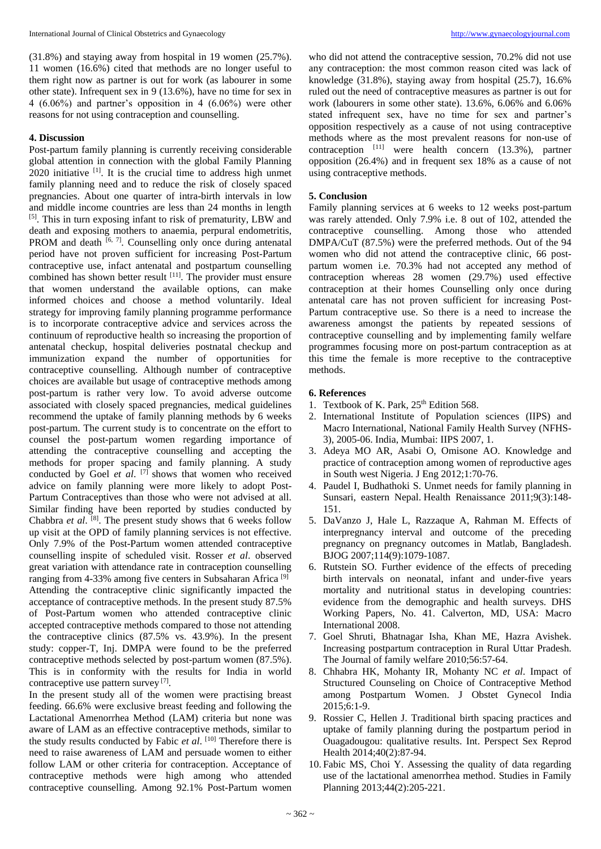(31.8%) and staying away from hospital in 19 women (25.7%). 11 women (16.6%) cited that methods are no longer useful to them right now as partner is out for work (as labourer in some other state). Infrequent sex in 9 (13.6%), have no time for sex in 4 (6.06%) and partner's opposition in 4 (6.06%) were other reasons for not using contraception and counselling.

## **4. Discussion**

Post-partum family planning is currently receiving considerable global attention in connection with the global Family Planning  $2020$  initiative  $^{[1]}$ . It is the crucial time to address high unmet family planning need and to reduce the risk of closely spaced pregnancies. About one quarter of intra-birth intervals in low and middle income countries are less than 24 months in length [5]. This in turn exposing infant to risk of prematurity, LBW and death and exposing mothers to anaemia, perpural endometritis, PROM and death  $[6, 7]$ . Counselling only once during antenatal period have not proven sufficient for increasing Post-Partum contraceptive use, infact antenatal and postpartum counselling combined has shown better result  $[11]$ . The provider must ensure that women understand the available options, can make informed choices and choose a method voluntarily. Ideal strategy for improving family planning programme performance is to incorporate contraceptive advice and services across the continuum of reproductive health so increasing the proportion of antenatal checkup, hospital deliveries postnatal checkup and immunization expand the number of opportunities for contraceptive counselling. Although number of contraceptive choices are available but usage of contraceptive methods among post-partum is rather very low. To avoid adverse outcome associated with closely spaced pregnancies, medical guidelines recommend the uptake of family planning methods by 6 weeks post-partum. The current study is to concentrate on the effort to counsel the post-partum women regarding importance of attending the contraceptive counselling and accepting the methods for proper spacing and family planning. A study conducted by Goel *et al*. [7] shows that women who received advice on family planning were more likely to adopt Post-Partum Contraceptives than those who were not advised at all. Similar finding have been reported by studies conducted by Chabbra *et al.* <sup>[8]</sup>. The present study shows that 6 weeks follow up visit at the OPD of family planning services is not effective. Only 7.9% of the Post-Partum women attended contraceptive counselling inspite of scheduled visit. Rosser *et al*. observed great variation with attendance rate in contraception counselling ranging from 4-33% among five centers in Subsaharan Africa<sup>[9]</sup> Attending the contraceptive clinic significantly impacted the acceptance of contraceptive methods. In the present study 87.5% of Post-Partum women who attended contraceptive clinic accepted contraceptive methods compared to those not attending the contraceptive clinics (87.5% vs. 43.9%). In the present study: copper-T, Inj. DMPA were found to be the preferred contraceptive methods selected by post-partum women (87.5%). This is in conformity with the results for India in world contraceptive use pattern survey [7].

In the present study all of the women were practising breast feeding. 66.6% were exclusive breast feeding and following the Lactational Amenorrhea Method (LAM) criteria but none was aware of LAM as an effective contraceptive methods, similar to the study results conducted by Fabic *et al*. [10] Therefore there is need to raise awareness of LAM and persuade women to either follow LAM or other criteria for contraception. Acceptance of contraceptive methods were high among who attended contraceptive counselling. Among 92.1% Post-Partum women

who did not attend the contraceptive session, 70.2% did not use any contraception: the most common reason cited was lack of knowledge (31.8%), staying away from hospital (25.7), 16.6% ruled out the need of contraceptive measures as partner is out for work (labourers in some other state). 13.6%, 6.06% and 6.06% stated infrequent sex, have no time for sex and partner's opposition respectively as a cause of not using contraceptive methods where as the most prevalent reasons for non-use of contraception [11] were health concern (13.3%), partner opposition (26.4%) and in frequent sex 18% as a cause of not using contraceptive methods.

# **5. Conclusion**

Family planning services at 6 weeks to 12 weeks post-partum was rarely attended. Only 7.9% i.e. 8 out of 102, attended the contraceptive counselling. Among those who attended DMPA/CuT (87.5%) were the preferred methods. Out of the 94 women who did not attend the contraceptive clinic, 66 postpartum women i.e. 70.3% had not accepted any method of contraception whereas 28 women (29.7%) used effective contraception at their homes Counselling only once during antenatal care has not proven sufficient for increasing Post-Partum contraceptive use. So there is a need to increase the awareness amongst the patients by repeated sessions of contraceptive counselling and by implementing family welfare programmes focusing more on post-partum contraception as at this time the female is more receptive to the contraceptive methods.

# **6. References**

- 1. Textbook of K. Park, 25<sup>th</sup> Edition 568.
- 2. International Institute of Population sciences (IIPS) and Macro International, National Family Health Survey (NFHS-3), 2005-06. India, Mumbai: IIPS 2007, 1.
- 3. Adeya MO AR, Asabi O, Omisone AO. Knowledge and practice of contraception among women of reproductive ages in South west Nigeria. J Eng 2012;1:70-76.
- 4. Paudel I, Budhathoki S. Unmet needs for family planning in Sunsari, eastern Nepal. Health Renaissance 2011;9(3):148- 151.
- 5. DaVanzo J, Hale L, Razzaque A, Rahman M. Effects of interpregnancy interval and outcome of the preceding pregnancy on pregnancy outcomes in Matlab, Bangladesh. BJOG 2007;114(9):1079-1087.
- 6. Rutstein SO. Further evidence of the effects of preceding birth intervals on neonatal, infant and under-five years mortality and nutritional status in developing countries: evidence from the demographic and health surveys. DHS Working Papers, No. 41. Calverton, MD, USA: Macro International 2008.
- 7. Goel Shruti, Bhatnagar Isha, Khan ME, Hazra Avishek. Increasing postpartum contraception in Rural Uttar Pradesh. The Journal of family welfare 2010;56:57-64.
- 8. Chhabra HK, Mohanty IR, Mohanty NC *et al*. Impact of Structured Counseling on Choice of Contraceptive Method among Postpartum Women. J Obstet Gynecol India 2015;6:1-9.
- 9. Rossier C, Hellen J. Traditional birth spacing practices and uptake of family planning during the postpartum period in Ouagadougou: qualitative results. Int. Perspect Sex Reprod Health 2014;40(2):87-94.
- 10. Fabic MS, Choi Y. Assessing the quality of data regarding use of the lactational amenorrhea method. Studies in Family Planning 2013;44(2):205-221.